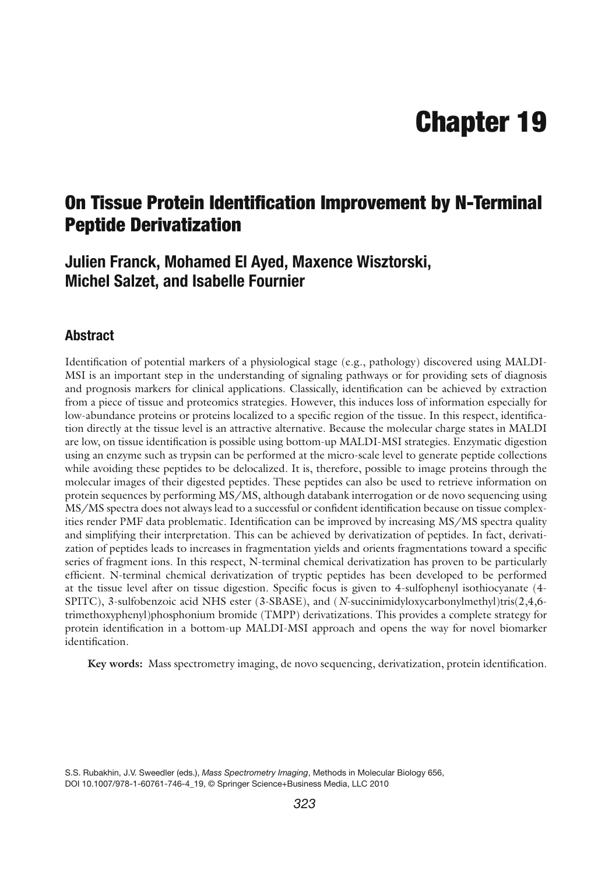# **Chapter 19**

## **On Tissue Protein Identification Improvement by N-Terminal Peptide Derivatization**

## **Julien Franck, Mohamed El Ayed, Maxence Wisztorski, Michel Salzet, and Isabelle Fournier**

#### **Abstract**

Identification of potential markers of a physiological stage (e.g., pathology) discovered using MALDI-MSI is an important step in the understanding of signaling pathways or for providing sets of diagnosis and prognosis markers for clinical applications. Classically, identification can be achieved by extraction from a piece of tissue and proteomics strategies. However, this induces loss of information especially for low-abundance proteins or proteins localized to a specific region of the tissue. In this respect, identification directly at the tissue level is an attractive alternative. Because the molecular charge states in MALDI are low, on tissue identification is possible using bottom-up MALDI-MSI strategies. Enzymatic digestion using an enzyme such as trypsin can be performed at the micro-scale level to generate peptide collections while avoiding these peptides to be delocalized. It is, therefore, possible to image proteins through the molecular images of their digested peptides. These peptides can also be used to retrieve information on protein sequences by performing MS/MS, although databank interrogation or de novo sequencing using MS/MS spectra does not always lead to a successful or confident identification because on tissue complexities render PMF data problematic. Identification can be improved by increasing MS/MS spectra quality and simplifying their interpretation. This can be achieved by derivatization of peptides. In fact, derivatization of peptides leads to increases in fragmentation yields and orients fragmentations toward a specific series of fragment ions. In this respect, N-terminal chemical derivatization has proven to be particularly efficient. N-terminal chemical derivatization of tryptic peptides has been developed to be performed at the tissue level after on tissue digestion. Specific focus is given to 4-sulfophenyl isothiocyanate (4- SPITC), 3-sulfobenzoic acid NHS ester (3-SBASE), and (*N*-succinimidyloxycarbonylmethyl)tris(2,4,6 trimethoxyphenyl)phosphonium bromide (TMPP) derivatizations. This provides a complete strategy for protein identification in a bottom-up MALDI-MSI approach and opens the way for novel biomarker identification.

**Key words:** Mass spectrometry imaging, de novo sequencing, derivatization, protein identification.

S.S. Rubakhin, J.V. Sweedler (eds.), *Mass Spectrometry Imaging*, Methods in Molecular Biology 656, DOI 10.1007/978-1-60761-746-4\_19, © Springer Science+Business Media, LLC 2010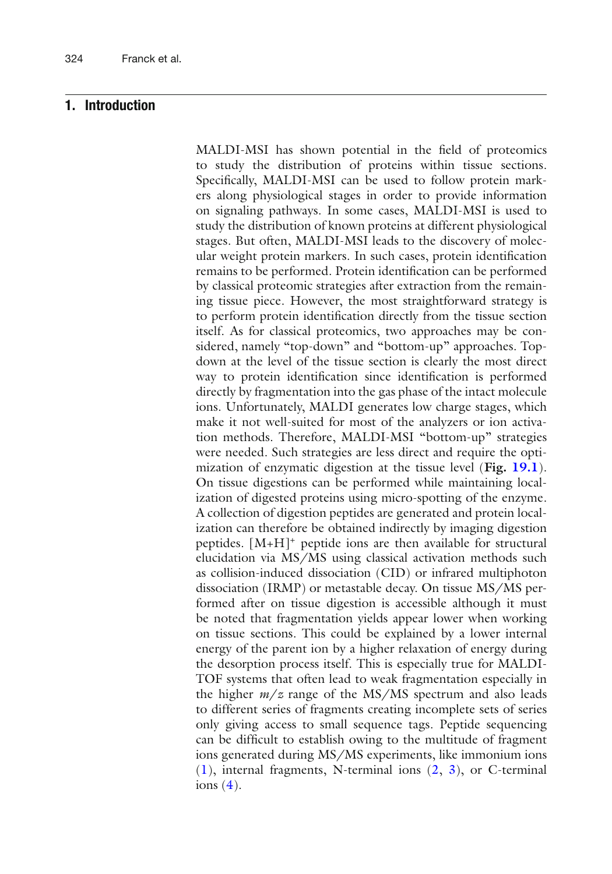## **1. Introduction**

MALDI-MSI has shown potential in the field of proteomics to study the distribution of proteins within tissue sections. Specifically, MALDI-MSI can be used to follow protein markers along physiological stages in order to provide information on signaling pathways. In some cases, MALDI-MSI is used to study the distribution of known proteins at different physiological stages. But often, MALDI-MSI leads to the discovery of molecular weight protein markers. In such cases, protein identification remains to be performed. Protein identification can be performed by classical proteomic strategies after extraction from the remaining tissue piece. However, the most straightforward strategy is to perform protein identification directly from the tissue section itself. As for classical proteomics, two approaches may be considered, namely "top-down" and "bottom-up" approaches. Topdown at the level of the tissue section is clearly the most direct way to protein identification since identification is performed directly by fragmentation into the gas phase of the intact molecule ions. Unfortunately, MALDI generates low charge stages, which make it not well-suited for most of the analyzers or ion activation methods. Therefore, MALDI-MSI "bottom-up" strategies were needed. Such strategies are less direct and require the optimization of enzymatic digestion at the tissue level (**Fig. [19.1](#page-2-0)**). On tissue digestions can be performed while maintaining localization of digested proteins using micro-spotting of the enzyme. A collection of digestion peptides are generated and protein localization can therefore be obtained indirectly by imaging digestion peptides.  $[M+H]^+$  peptide ions are then available for structural elucidation via MS/MS using classical activation methods such as collision-induced dissociation (CID) or infrared multiphoton dissociation (IRMP) or metastable decay. On tissue MS/MS performed after on tissue digestion is accessible although it must be noted that fragmentation yields appear lower when working on tissue sections. This could be explained by a lower internal energy of the parent ion by a higher relaxation of energy during the desorption process itself. This is especially true for MALDI-TOF systems that often lead to weak fragmentation especially in the higher *m*/*z* range of the MS/MS spectrum and also leads to different series of fragments creating incomplete sets of series only giving access to small sequence tags. Peptide sequencing can be difficult to establish owing to the multitude of fragment ions generated during MS/MS experiments, like immonium ions [\(1\)](#page-14-0), internal fragments, N-terminal ions [\(2,](#page-14-1) [3\)](#page-14-2), or C-terminal ions  $(4)$ .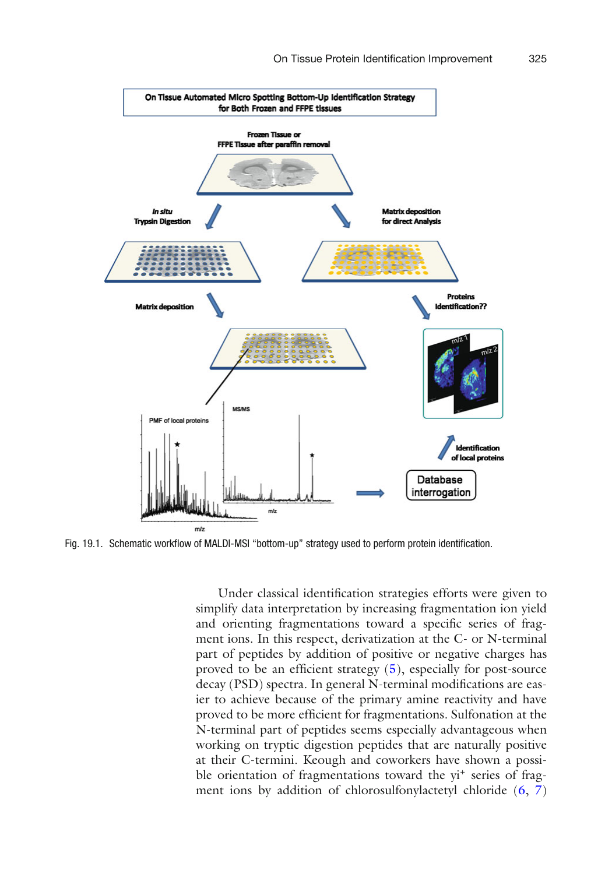

Fig. 19.1. Schematic workflow of MALDI-MSI "bottom-up" strategy used to perform protein identification.

<span id="page-2-0"></span>Under classical identification strategies efforts were given to simplify data interpretation by increasing fragmentation ion yield and orienting fragmentations toward a specific series of fragment ions. In this respect, derivatization at the C- or N-terminal part of peptides by addition of positive or negative charges has proved to be an efficient strategy [\(5\)](#page-14-4), especially for post-source decay (PSD) spectra. In general N-terminal modifications are easier to achieve because of the primary amine reactivity and have proved to be more efficient for fragmentations. Sulfonation at the N-terminal part of peptides seems especially advantageous when working on tryptic digestion peptides that are naturally positive at their C-termini. Keough and coworkers have shown a possible orientation of fragmentations toward the yi<sup>+</sup> series of fragment ions by addition of chlorosulfonylactetyl chloride [\(6,](#page-14-5) [7\)](#page-15-0)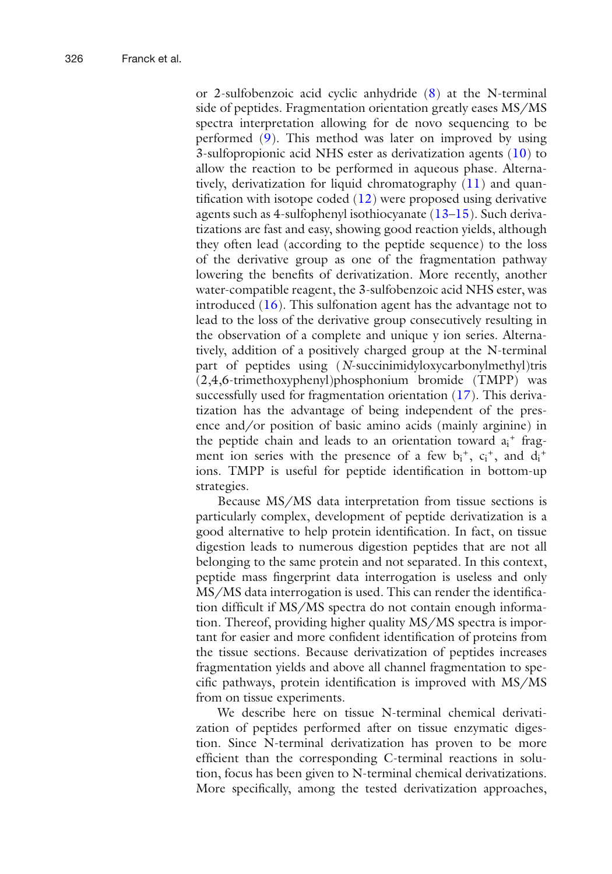or 2-sulfobenzoic acid cyclic anhydride [\(8\)](#page-15-1) at the N-terminal side of peptides. Fragmentation orientation greatly eases MS/MS spectra interpretation allowing for de novo sequencing to be performed [\(9\)](#page-15-2). This method was later on improved by using 3-sulfopropionic acid NHS ester as derivatization agents [\(10\)](#page-15-3) to allow the reaction to be performed in aqueous phase. Alternatively, derivatization for liquid chromatography [\(11\)](#page-15-4) and quantification with isotope coded  $(12)$  were proposed using derivative agents such as 4-sulfophenyl isothiocyanate [\(13–](#page-15-6)[15\)](#page-15-7). Such derivatizations are fast and easy, showing good reaction yields, although they often lead (according to the peptide sequence) to the loss of the derivative group as one of the fragmentation pathway lowering the benefits of derivatization. More recently, another water-compatible reagent, the 3-sulfobenzoic acid NHS ester, was introduced  $(16)$ . This sulfonation agent has the advantage not to lead to the loss of the derivative group consecutively resulting in the observation of a complete and unique y ion series. Alternatively, addition of a positively charged group at the N-terminal part of peptides using (*N*-succinimidyloxycarbonylmethyl)tris (2,4,6-trimethoxyphenyl)phosphonium bromide (TMPP) was successfully used for fragmentation orientation [\(17\)](#page-15-9). This derivatization has the advantage of being independent of the presence and/or position of basic amino acids (mainly arginine) in the peptide chain and leads to an orientation toward a<sub>i</sub><sup>+</sup> fragment ion series with the presence of a few  $b_i^+$ ,  $c_i^+$ , and  $d_i^+$ ions. TMPP is useful for peptide identification in bottom-up strategies.

Because MS/MS data interpretation from tissue sections is particularly complex, development of peptide derivatization is a good alternative to help protein identification. In fact, on tissue digestion leads to numerous digestion peptides that are not all belonging to the same protein and not separated. In this context, peptide mass fingerprint data interrogation is useless and only MS/MS data interrogation is used. This can render the identification difficult if MS/MS spectra do not contain enough information. Thereof, providing higher quality MS/MS spectra is important for easier and more confident identification of proteins from the tissue sections. Because derivatization of peptides increases fragmentation yields and above all channel fragmentation to specific pathways, protein identification is improved with MS/MS from on tissue experiments.

We describe here on tissue N-terminal chemical derivatization of peptides performed after on tissue enzymatic digestion. Since N-terminal derivatization has proven to be more efficient than the corresponding C-terminal reactions in solution, focus has been given to N-terminal chemical derivatizations. More specifically, among the tested derivatization approaches,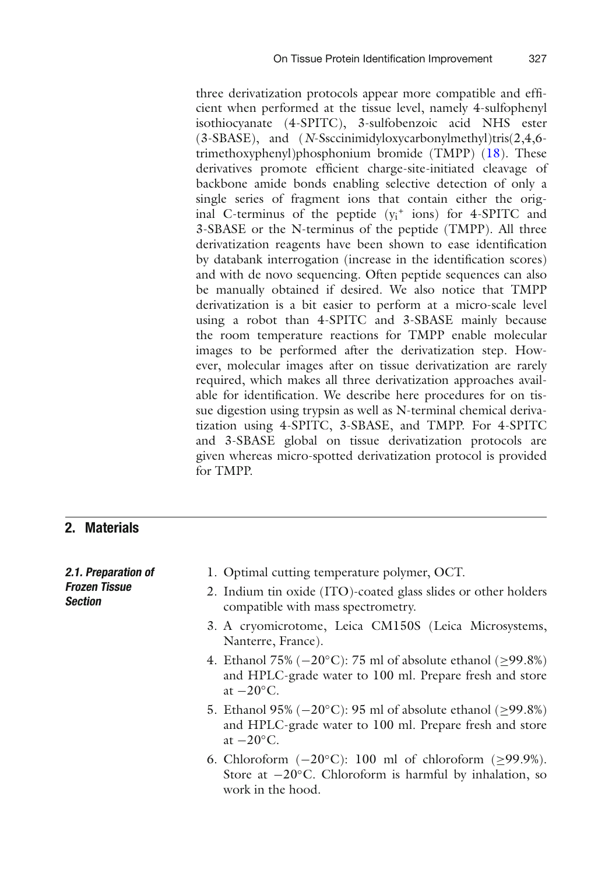three derivatization protocols appear more compatible and efficient when performed at the tissue level, namely 4-sulfophenyl isothiocyanate (4-SPITC), 3-sulfobenzoic acid NHS ester  $(3-\text{SBASE})$ , and  $(N-\text{S}\text{g}$ cinimidyloxycarbonylmethyl)tris $(2,4,6-\text{g})$ trimethoxyphenyl)phosphonium bromide (TMPP) [\(18\)](#page-15-10). These derivatives promote efficient charge-site-initiated cleavage of backbone amide bonds enabling selective detection of only a single series of fragment ions that contain either the original C-terminus of the peptide  $(y_i^+$  ions) for 4-SPITC and 3-SBASE or the N-terminus of the peptide (TMPP). All three derivatization reagents have been shown to ease identification by databank interrogation (increase in the identification scores) and with de novo sequencing. Often peptide sequences can also be manually obtained if desired. We also notice that TMPP derivatization is a bit easier to perform at a micro-scale level using a robot than 4-SPITC and 3-SBASE mainly because the room temperature reactions for TMPP enable molecular images to be performed after the derivatization step. However, molecular images after on tissue derivatization are rarely required, which makes all three derivatization approaches available for identification. We describe here procedures for on tissue digestion using trypsin as well as N-terminal chemical derivatization using 4-SPITC, 3-SBASE, and TMPP. For 4-SPITC and 3-SBASE global on tissue derivatization protocols are given whereas micro-spotted derivatization protocol is provided for TMPP.

## **2. Materials**

| 2.1. Preparation of<br><b>Frozen Tissue</b><br><b>Section</b> | 1. Optimal cutting temperature polymer, OCT.                                                                                                                      |  |  |  |  |
|---------------------------------------------------------------|-------------------------------------------------------------------------------------------------------------------------------------------------------------------|--|--|--|--|
|                                                               | 2. Indium tin oxide (ITO)-coated glass slides or other holders<br>compatible with mass spectrometry.                                                              |  |  |  |  |
|                                                               | 3. A cryomicrotome, Leica CM150S (Leica Microsystems,<br>Nanterre, France).                                                                                       |  |  |  |  |
|                                                               | 4. Ethanol 75% ( $-20^{\circ}$ C): 75 ml of absolute ethanol ( $\geq$ 99.8%)<br>and HPLC-grade water to 100 ml. Prepare fresh and store<br>at $-20$ °C.           |  |  |  |  |
|                                                               | 5. Ethanol 95% ( $-20^{\circ}$ C): 95 ml of absolute ethanol ( $\geq$ 99.8%)<br>and HPLC-grade water to 100 ml. Prepare fresh and store<br>at $-20^{\circ}$ C.    |  |  |  |  |
|                                                               | 6. Chloroform $(-20^{\circ}C)$ : 100 ml of chloroform $(\geq 99.9\%)$ .<br>Store at $-20^{\circ}$ C. Chloroform is harmful by inhalation, so<br>work in the hood. |  |  |  |  |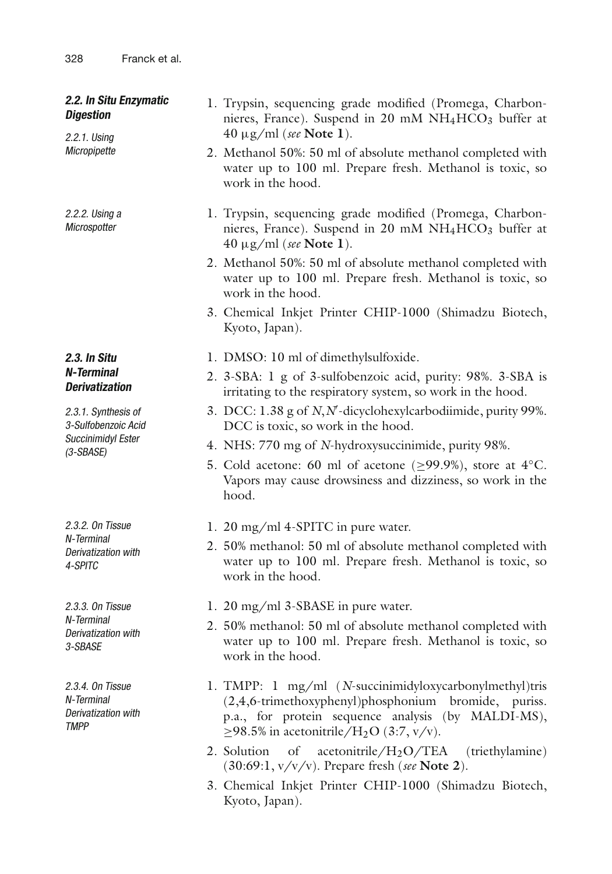| 2.2. In Situ Enzymatic<br><b>Digestion</b><br>2.2.1. Using           |                                                                                                                                                                         | 1. Trypsin, sequencing grade modified (Promega, Charbon-<br>nieres, France). Suspend in 20 mM NH <sub>4</sub> HCO <sub>3</sub> buffer at<br>$40 \mu g/ml$ (see Note 1).                                                           |  |  |  |
|----------------------------------------------------------------------|-------------------------------------------------------------------------------------------------------------------------------------------------------------------------|-----------------------------------------------------------------------------------------------------------------------------------------------------------------------------------------------------------------------------------|--|--|--|
| Micropipette                                                         | 2. Methanol 50%: 50 ml of absolute methanol completed with<br>water up to 100 ml. Prepare fresh. Methanol is toxic, so<br>work in the hood.                             |                                                                                                                                                                                                                                   |  |  |  |
| 2.2.2. Using a<br>Microspotter                                       | 1. Trypsin, sequencing grade modified (Promega, Charbon-<br>nieres, France). Suspend in 20 mM NH <sub>4</sub> HCO <sub>3</sub> buffer at<br>$40 \mu g/ml$ (see Note 1). |                                                                                                                                                                                                                                   |  |  |  |
|                                                                      | work in the hood.                                                                                                                                                       | 2. Methanol 50%: 50 ml of absolute methanol completed with<br>water up to 100 ml. Prepare fresh. Methanol is toxic, so                                                                                                            |  |  |  |
|                                                                      | Kyoto, Japan).                                                                                                                                                          | 3. Chemical Inkjet Printer CHIP-1000 (Shimadzu Biotech,                                                                                                                                                                           |  |  |  |
| 2.3. In Situ                                                         |                                                                                                                                                                         | 1. DMSO: 10 ml of dimethylsulfoxide.                                                                                                                                                                                              |  |  |  |
| <b>N-Terminal</b><br><b>Derivatization</b>                           | 2. 3-SBA: 1 g of 3-sulfobenzoic acid, purity: 98%. 3-SBA is<br>irritating to the respiratory system, so work in the hood.                                               |                                                                                                                                                                                                                                   |  |  |  |
| 2.3.1. Synthesis of<br>3-Sulfobenzoic Acid                           |                                                                                                                                                                         | 3. DCC: 1.38 g of N, N'-dicyclohexylcarbodiimide, purity 99%.<br>DCC is toxic, so work in the hood.                                                                                                                               |  |  |  |
| Succinimidyl Ester<br>$(3$ -SBASE)                                   |                                                                                                                                                                         | 4. NHS: 770 mg of N-hydroxysuccinimide, purity 98%.                                                                                                                                                                               |  |  |  |
|                                                                      | hood.                                                                                                                                                                   | 5. Cold acetone: 60 ml of acetone ( $\geq$ 99.9%), store at 4°C.<br>Vapors may cause drowsiness and dizziness, so work in the                                                                                                     |  |  |  |
| 2.3.2. On Tissue                                                     |                                                                                                                                                                         | 1. 20 mg/ml 4-SPITC in pure water.                                                                                                                                                                                                |  |  |  |
| N-Terminal<br>Derivatization with<br>4-SPITC                         | 2. 50% methanol: 50 ml of absolute methanol completed with<br>water up to 100 ml. Prepare fresh. Methanol is toxic, so<br>work in the hood.                             |                                                                                                                                                                                                                                   |  |  |  |
| 2.3.3. On Tissue                                                     |                                                                                                                                                                         | 1. 20 mg/ml 3-SBASE in pure water.                                                                                                                                                                                                |  |  |  |
| N-Terminal<br>Derivatization with<br>3-SBASE                         | work in the hood.                                                                                                                                                       | 2. 50% methanol: 50 ml of absolute methanol completed with<br>water up to 100 ml. Prepare fresh. Methanol is toxic, so                                                                                                            |  |  |  |
| 2.3.4. On Tissue<br>N-Terminal<br>Derivatization with<br><b>TMPP</b> |                                                                                                                                                                         | 1. TMPP: 1 mg/ml (N-succinimidyloxycarbonylmethyl)tris<br>(2,4,6-trimethoxyphenyl)phosphonium bromide, puriss.<br>p.a., for protein sequence analysis (by MALDI-MS),<br>$\geq$ 98.5% in acetonitrile/H <sub>2</sub> O (3:7, v/v). |  |  |  |
|                                                                      | 2. Solution                                                                                                                                                             | of<br>$\alpha$ acetonitrile/H <sub>2</sub> O/TEA (triethylamine)<br>$(30:69:1, v/v/v)$ . Prepare fresh (see Note 2).                                                                                                              |  |  |  |
|                                                                      | Kyoto, Japan).                                                                                                                                                          | 3. Chemical Inkjet Printer CHIP-1000 (Shimadzu Biotech,                                                                                                                                                                           |  |  |  |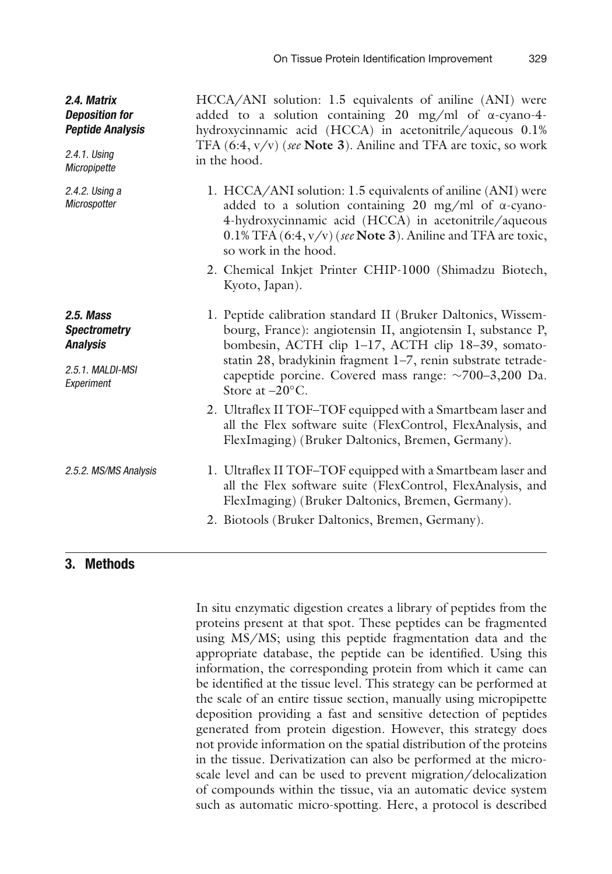HCCA/ANI solution: 1.5 equivalents of aniline (ANI) were

| <b>Deposition for</b><br><b>Peptide Analysis</b>                                             | added to a solution containing 20 mg/ml of $\alpha$ -cyano-4-<br>hydroxycinnamic acid (HCCA) in acetonitrile/aqueous 0.1%                                                                                                                                                                                                                      |  |  |  |  |
|----------------------------------------------------------------------------------------------|------------------------------------------------------------------------------------------------------------------------------------------------------------------------------------------------------------------------------------------------------------------------------------------------------------------------------------------------|--|--|--|--|
| 2.4.1. Using<br>Micropipette                                                                 | TFA $(6:4, v/v)$ (see Note 3). Aniline and TFA are toxic, so work<br>in the hood.                                                                                                                                                                                                                                                              |  |  |  |  |
| 2.4.2. Using a<br>Microspotter                                                               | 1. HCCA/ANI solution: 1.5 equivalents of aniline (ANI) were<br>added to a solution containing 20 mg/ml of $\alpha$ -cyano-<br>4-hydroxycinnamic acid (HCCA) in acetonitrile/aqueous<br>$0.1\%$ TFA (6:4, v/v) (see Note 3). Aniline and TFA are toxic,<br>so work in the hood.                                                                 |  |  |  |  |
|                                                                                              | 2. Chemical Inkjet Printer CHIP-1000 (Shimadzu Biotech,<br>Kyoto, Japan).                                                                                                                                                                                                                                                                      |  |  |  |  |
| <b>2.5. Mass</b><br><b>Spectrometry</b><br><b>Analysis</b><br>2.5.1. MALDI-MSI<br>Experiment | 1. Peptide calibration standard II (Bruker Daltonics, Wissem-<br>bourg, France): angiotensin II, angiotensin I, substance P,<br>bombesin, ACTH clip 1-17, ACTH clip 18-39, somato-<br>statin 28, bradykinin fragment 1-7, renin substrate tetrade-<br>capeptide porcine. Covered mass range: $\sim$ 700-3,200 Da.<br>Store at $-20^{\circ}$ C. |  |  |  |  |
|                                                                                              | 2. Ultraflex II TOF-TOF equipped with a Smartbeam laser and<br>all the Flex software suite (FlexControl, FlexAnalysis, and<br>FlexImaging) (Bruker Daltonics, Bremen, Germany).                                                                                                                                                                |  |  |  |  |
| 2.5.2. MS/MS Analysis                                                                        | 1. Ultraflex II TOF-TOF equipped with a Smartbeam laser and<br>all the Flex software suite (FlexControl, FlexAnalysis, and<br>FlexImaging) (Bruker Daltonics, Bremen, Germany).<br>2. Biotools (Bruker Daltonics, Bremen, Germany).                                                                                                            |  |  |  |  |
|                                                                                              |                                                                                                                                                                                                                                                                                                                                                |  |  |  |  |

## **3. Methods**

**2.4. Matrix**

In situ enzymatic digestion creates a library of peptides from the proteins present at that spot. These peptides can be fragmented using MS/MS; using this peptide fragmentation data and the appropriate database, the peptide can be identified. Using this information, the corresponding protein from which it came can be identified at the tissue level. This strategy can be performed at the scale of an entire tissue section, manually using micropipette deposition providing a fast and sensitive detection of peptides generated from protein digestion. However, this strategy does not provide information on the spatial distribution of the proteins in the tissue. Derivatization can also be performed at the microscale level and can be used to prevent migration/delocalization of compounds within the tissue, via an automatic device system such as automatic micro-spotting. Here, a protocol is described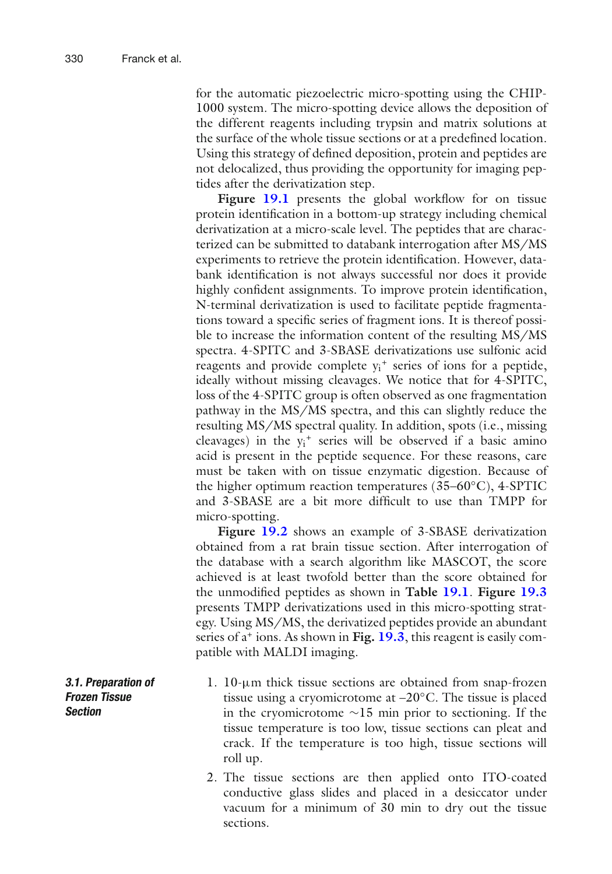for the automatic piezoelectric micro-spotting using the CHIP-1000 system. The micro-spotting device allows the deposition of the different reagents including trypsin and matrix solutions at the surface of the whole tissue sections or at a predefined location. Using this strategy of defined deposition, protein and peptides are not delocalized, thus providing the opportunity for imaging peptides after the derivatization step.

**Figure [19.1](#page-2-0)** presents the global workflow for on tissue protein identification in a bottom-up strategy including chemical derivatization at a micro-scale level. The peptides that are characterized can be submitted to databank interrogation after MS/MS experiments to retrieve the protein identification. However, databank identification is not always successful nor does it provide highly confident assignments. To improve protein identification, N-terminal derivatization is used to facilitate peptide fragmentations toward a specific series of fragment ions. It is thereof possible to increase the information content of the resulting MS/MS spectra. 4-SPITC and 3-SBASE derivatizations use sulfonic acid reagents and provide complete  $y_i^+$  series of ions for a peptide, ideally without missing cleavages. We notice that for 4-SPITC, loss of the 4-SPITC group is often observed as one fragmentation pathway in the MS/MS spectra, and this can slightly reduce the resulting MS/MS spectral quality. In addition, spots (i.e., missing cleavages) in the yi <sup>+</sup> series will be observed if a basic amino acid is present in the peptide sequence. For these reasons, care must be taken with on tissue enzymatic digestion. Because of the higher optimum reaction temperatures (35–60◦C), 4-SPTIC and 3-SBASE are a bit more difficult to use than TMPP for micro-spotting.

**Figure [19.2](#page-8-0)** shows an example of 3-SBASE derivatization obtained from a rat brain tissue section. After interrogation of the database with a search algorithm like MASCOT, the score achieved is at least twofold better than the score obtained for the unmodified peptides as shown in **Table [19.1](#page-9-0)**. **Figure [19.3](#page-10-0)** presents TMPP derivatizations used in this micro-spotting strategy. Using MS/MS, the derivatized peptides provide an abundant series of a+ ions. As shown in **Fig. [19.3](#page-10-0)**, this reagent is easily compatible with MALDI imaging.

- 1. 10-μm thick tissue sections are obtained from snap-frozen tissue using a cryomicrotome at –20◦C. The tissue is placed in the cryomicrotome ∼15 min prior to sectioning. If the tissue temperature is too low, tissue sections can pleat and crack. If the temperature is too high, tissue sections will roll up.
- 2. The tissue sections are then applied onto ITO-coated conductive glass slides and placed in a desiccator under vacuum for a minimum of 30 min to dry out the tissue sections.

**3.1. Preparation of Frozen Tissue Section**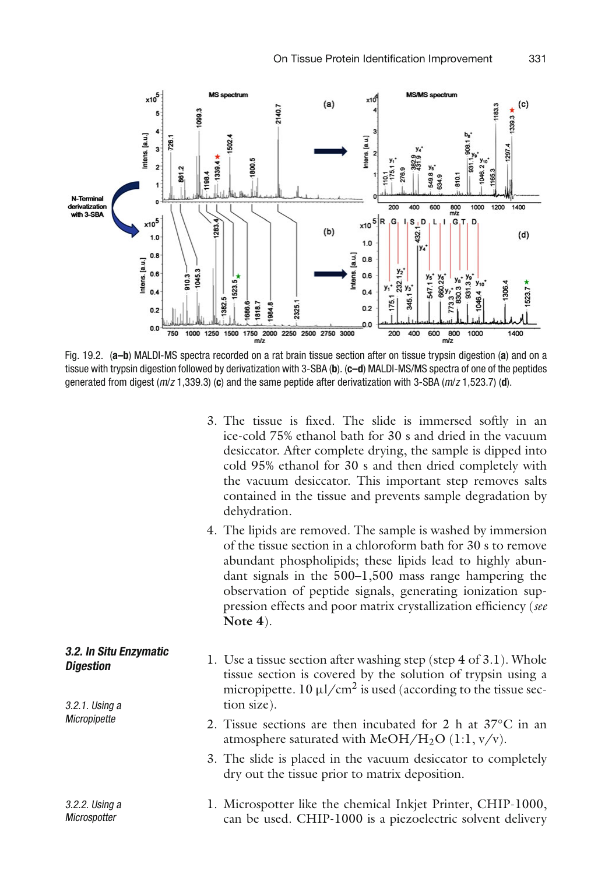

Fig. 19.2. (**a–b**) MALDI-MS spectra recorded on a rat brain tissue section after on tissue trypsin digestion (**a**) and on a tissue with trypsin digestion followed by derivatization with 3-SBA (**b**). (**c–d**) MALDI-MS/MS spectra of one of the peptides generated from digest (m/<sup>z</sup> 1,339.3) (**c**) and the same peptide after derivatization with 3-SBA (m/<sup>z</sup> 1,523.7) (**d**).

- <span id="page-8-0"></span>3. The tissue is fixed. The slide is immersed softly in an ice-cold 75% ethanol bath for 30 s and dried in the vacuum desiccator. After complete drying, the sample is dipped into cold 95% ethanol for 30 s and then dried completely with the vacuum desiccator. This important step removes salts contained in the tissue and prevents sample degradation by dehydration.
- 4. The lipids are removed. The sample is washed by immersion of the tissue section in a chloroform bath for 30 s to remove abundant phospholipids; these lipids lead to highly abundant signals in the 500–1,500 mass range hampering the observation of peptide signals, generating ionization suppression effects and poor matrix crystallization efficiency (*see* **Note 4**).

| 1. Use a tissue section after washing step (step 4 of 3.1). Whole   |
|---------------------------------------------------------------------|
| tissue section is covered by the solution of trypsin using a        |
| micropipette. $10 \mu l/cm^2$ is used (according to the tissue sec- |
| tion size).                                                         |
|                                                                     |

- 2. Tissue sections are then incubated for 2 h at 37◦C in an atmosphere saturated with MeOH/H<sub>2</sub>O (1:1,  $v/v$ ).
- 3. The slide is placed in the vacuum desiccator to completely dry out the tissue prior to matrix deposition.
- 1. Microspotter like the chemical Inkjet Printer, CHIP-1000, can be used. CHIP-1000 is a piezoelectric solvent delivery

**Digestion**

3.2.1. Using <sup>a</sup> **Micropipette** 

**3.2. In Situ Enzymatic**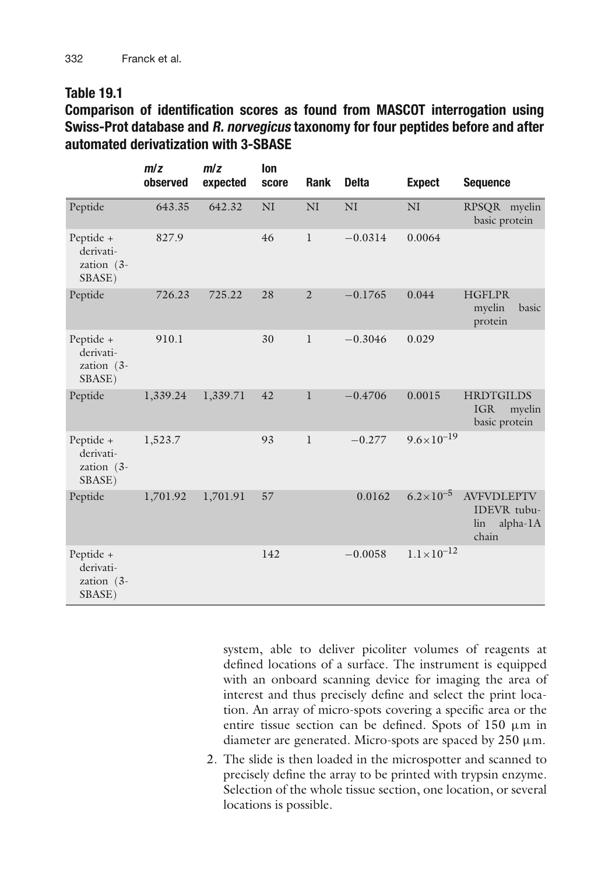## **Table 19.1**

**Comparison of identification scores as found from MASCOT interrogation using Swiss-Prot database and R. norvegicus taxonomy for four peptides before and after automated derivatization with 3-SBASE**

<span id="page-9-0"></span>

|                                                   | mlz<br>observed | m/z<br>expected | lon<br>score | <b>Rank</b>    | <b>Delta</b> | <b>Expect</b>         | <b>Sequence</b>                                                     |
|---------------------------------------------------|-----------------|-----------------|--------------|----------------|--------------|-----------------------|---------------------------------------------------------------------|
| Peptide                                           | 643.35          | 642.32          | NI           | NI             | NI           | NI                    | RPSQR myelin<br>basic protein                                       |
| Peptide +<br>derivati-<br>zation (3-<br>SBASE)    | 827.9           |                 | 46           | $\bf{l}$       | $-0.0314$    | 0.0064                |                                                                     |
| Peptide                                           | 726.23          | 725.22          | 28           | $\overline{2}$ | $-0.1765$    | 0.044                 | <b>HGFLPR</b><br>myelin<br>basic<br>protein                         |
| Peptide +<br>derivati-<br>zation (3-<br>SBASE)    | 910.1           |                 | 30           | $\mathbf l$    | $-0.3046$    | 0.029                 |                                                                     |
| Peptide                                           | 1,339.24        | 1,339.71        | 42           | $\mathbf l$    | $-0.4706$    | 0.0015                | <b>HRDTGILDS</b><br><b>IGR</b><br>myelin<br>basic protein           |
| Peptide +<br>derivati-<br>zation (3-<br>SBASE)    | 1,523.7         |                 | 93           | $\mathbf{I}$   | $-0.277$     | $9.6 \times 10^{-19}$ |                                                                     |
| Peptide                                           | 1,701.92        | 1,701.91        | 57           |                | 0.0162       | $6.2 \times 10^{-5}$  | <b>AVFVDLEPTV</b><br><b>IDEVR</b> tubu-<br>alpha-1A<br>lin<br>chain |
| Peptide +<br>derivati-<br>zation $(3 -$<br>SBASE) |                 |                 | 142          |                | $-0.0058$    | $1.1 \times 10^{-12}$ |                                                                     |

system, able to deliver picoliter volumes of reagents at defined locations of a surface. The instrument is equipped with an onboard scanning device for imaging the area of interest and thus precisely define and select the print location. An array of micro-spots covering a specific area or the entire tissue section can be defined. Spots of 150 μm in diameter are generated. Micro-spots are spaced by 250 μm.

2. The slide is then loaded in the microspotter and scanned to precisely define the array to be printed with trypsin enzyme. Selection of the whole tissue section, one location, or several locations is possible.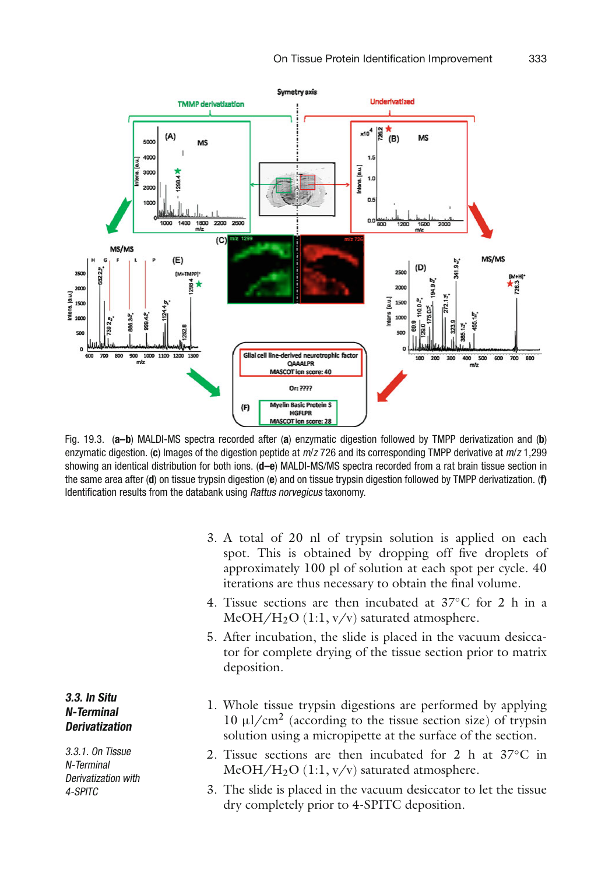

Fig. 19.3. (**a–b**) MALDI-MS spectra recorded after (**a**) enzymatic digestion followed by TMPP derivatization and (**b**) enzymatic digestion. (**c**) Images of the digestion peptide at <sup>m</sup>/<sup>z</sup> 726 and its corresponding TMPP derivative at <sup>m</sup>/<sup>z</sup> 1,299 showing an identical distribution for both ions. (**d–e**) MALDI-MS/MS spectra recorded from a rat brain tissue section in the same area after (**d**) on tissue trypsin digestion (**e**) and on tissue trypsin digestion followed by TMPP derivatization. (**f)** Identification results from the databank using Rattus norvegicus taxonomy.

- <span id="page-10-0"></span>3. A total of 20 nl of trypsin solution is applied on each spot. This is obtained by dropping off five droplets of approximately 100 pl of solution at each spot per cycle. 40 iterations are thus necessary to obtain the final volume.
- 4. Tissue sections are then incubated at 37◦C for 2 h in a  $MeOH/H<sub>2</sub>O (1:1, v/v)$  saturated atmosphere.
- 5. After incubation, the slide is placed in the vacuum desiccator for complete drying of the tissue section prior to matrix deposition.
- 1. Whole tissue trypsin digestions are performed by applying 10 μl/cm<sup>2</sup> (according to the tissue section size) of trypsin solution using a micropipette at the surface of the section.
- 2. Tissue sections are then incubated for 2 h at 37◦C in  $MeOH/H<sub>2</sub>O (1:1, v/v)$  saturated atmosphere.
- 3. The slide is placed in the vacuum desiccator to let the tissue dry completely prior to 4-SPITC deposition.

#### **3.3. In Situ N-Terminal Derivatization**

3.3.1. On Tissue N-Terminal Derivatization with 4-SPITC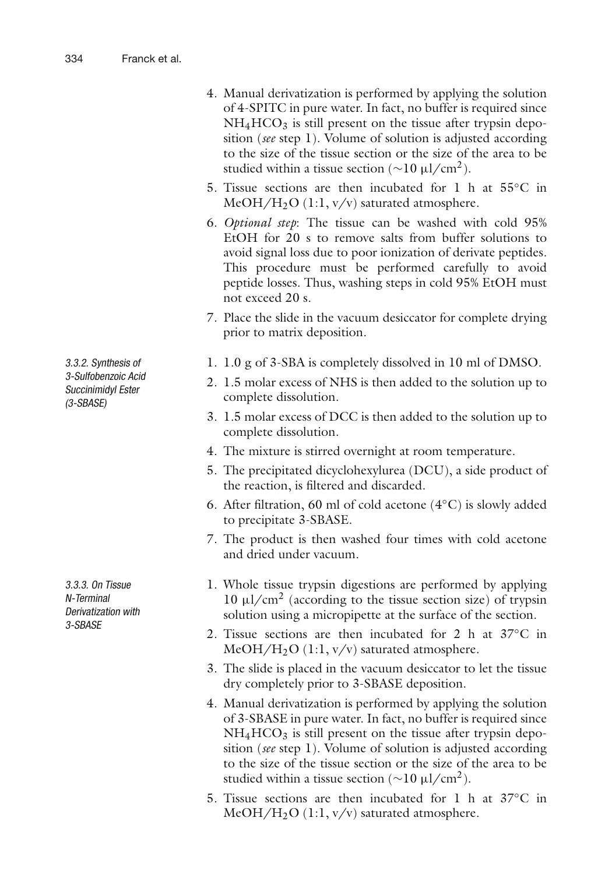- 4. Manual derivatization is performed by applying the solution of 4-SPITC in pure water. In fact, no buffer is required since  $NH<sub>4</sub>HCO<sub>3</sub>$  is still present on the tissue after trypsin deposition (*see* step 1). Volume of solution is adjusted according to the size of the tissue section or the size of the area to be studied within a tissue section ( $\sim$ 10 μl/cm<sup>2</sup>).
- 5. Tissue sections are then incubated for 1 h at 55◦C in  $MeOH/H<sub>2</sub>O (1:1, v/v)$  saturated atmosphere.
- 6. *Optional step*: The tissue can be washed with cold 95% EtOH for 20 s to remove salts from buffer solutions to avoid signal loss due to poor ionization of derivate peptides. This procedure must be performed carefully to avoid peptide losses. Thus, washing steps in cold 95% EtOH must not exceed 20 s.
- 7. Place the slide in the vacuum desiccator for complete drying prior to matrix deposition.
- 1. 1.0 g of 3-SBA is completely dissolved in 10 ml of DMSO.
- 2. 1.5 molar excess of NHS is then added to the solution up to complete dissolution.
- 3. 1.5 molar excess of DCC is then added to the solution up to complete dissolution.
- 4. The mixture is stirred overnight at room temperature.
- 5. The precipitated dicyclohexylurea (DCU), a side product of the reaction, is filtered and discarded.
- 6. After filtration, 60 ml of cold acetone (4◦C) is slowly added to precipitate 3-SBASE.
- 7. The product is then washed four times with cold acetone and dried under vacuum.
- 1. Whole tissue trypsin digestions are performed by applying 10  $\mu$ l/cm<sup>2</sup> (according to the tissue section size) of trypsin solution using a micropipette at the surface of the section.
- 2. Tissue sections are then incubated for 2 h at 37◦C in  $MeOH/H<sub>2</sub>O (1:1, v/v)$  saturated atmosphere.
- 3. The slide is placed in the vacuum desiccator to let the tissue dry completely prior to 3-SBASE deposition.
- 4. Manual derivatization is performed by applying the solution of 3-SBASE in pure water. In fact, no buffer is required since  $NH<sub>4</sub>HCO<sub>3</sub>$  is still present on the tissue after trypsin deposition (*see* step 1). Volume of solution is adjusted according to the size of the tissue section or the size of the area to be studied within a tissue section ( $\sim$ 10 μl/cm<sup>2</sup>).
- 5. Tissue sections are then incubated for 1 h at 37°C in  $MeOH/H<sub>2</sub>O (1:1, v/v)$  saturated atmosphere.

3.3.2. Synthesis of 3-Sulfobenzoic Acid Succinimidyl Ester (3-SBASE)

3.3.3. On Tissue N-Terminal Derivatization with 3-SBASE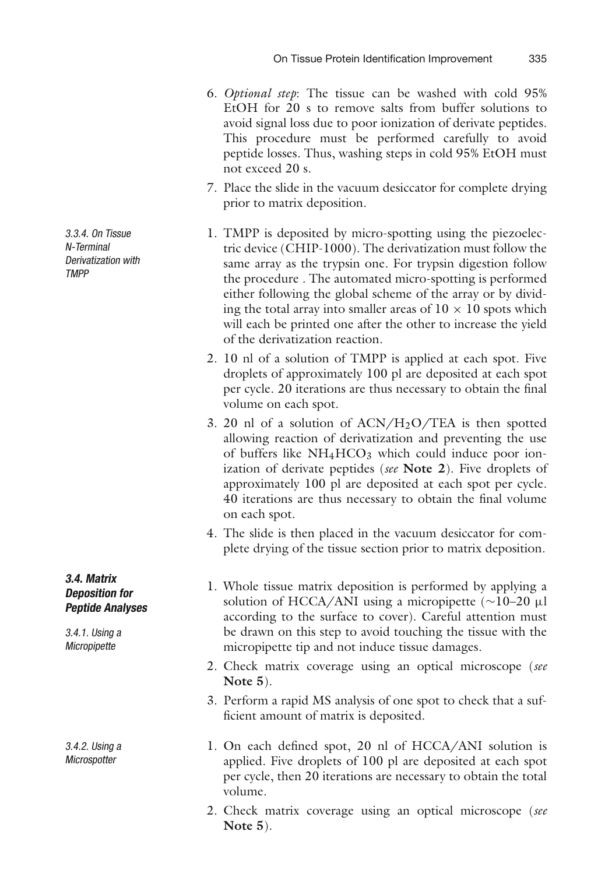- 6. *Optional step*: The tissue can be washed with cold 95% EtOH for 20 s to remove salts from buffer solutions to avoid signal loss due to poor ionization of derivate peptides. This procedure must be performed carefully to avoid peptide losses. Thus, washing steps in cold 95% EtOH must not exceed 20 s.
- 7. Place the slide in the vacuum desiccator for complete drying prior to matrix deposition.
- 1. TMPP is deposited by micro-spotting using the piezoelectric device (CHIP-1000). The derivatization must follow the same array as the trypsin one. For trypsin digestion follow the procedure . The automated micro-spotting is performed either following the global scheme of the array or by dividing the total array into smaller areas of  $10 \times 10$  spots which will each be printed one after the other to increase the yield of the derivatization reaction.
- 2. 10 nl of a solution of TMPP is applied at each spot. Five droplets of approximately 100 pl are deposited at each spot per cycle. 20 iterations are thus necessary to obtain the final volume on each spot.
- 3. 20 nl of a solution of  $ACN/H_2O/TEA$  is then spotted allowing reaction of derivatization and preventing the use of buffers like  $NH<sub>4</sub>HCO<sub>3</sub>$  which could induce poor ionization of derivate peptides (*see* **Note 2**). Five droplets of approximately 100 pl are deposited at each spot per cycle. 40 iterations are thus necessary to obtain the final volume on each spot.
- 4. The slide is then placed in the vacuum desiccator for complete drying of the tissue section prior to matrix deposition.
- 1. Whole tissue matrix deposition is performed by applying a solution of HCCA/ANI using a micropipette (~10–20 μl according to the surface to cover). Careful attention must be drawn on this step to avoid touching the tissue with the micropipette tip and not induce tissue damages.
- 2. Check matrix coverage using an optical microscope (*see* **Note 5**).
- 3. Perform a rapid MS analysis of one spot to check that a sufficient amount of matrix is deposited.
- 1. On each defined spot, 20 nl of HCCA/ANI solution is applied. Five droplets of 100 pl are deposited at each spot per cycle, then 20 iterations are necessary to obtain the total volume.
- 2. Check matrix coverage using an optical microscope (*see* **Note 5**).

3.3.4. On Tissue N-Terminal Derivatization with TMPP

**3.4. Matrix Deposition for Peptide Analyses**

3.4.1. Using <sup>a</sup> **Micropipette** 

3.4.2. Using <sup>a</sup> **Microspotter**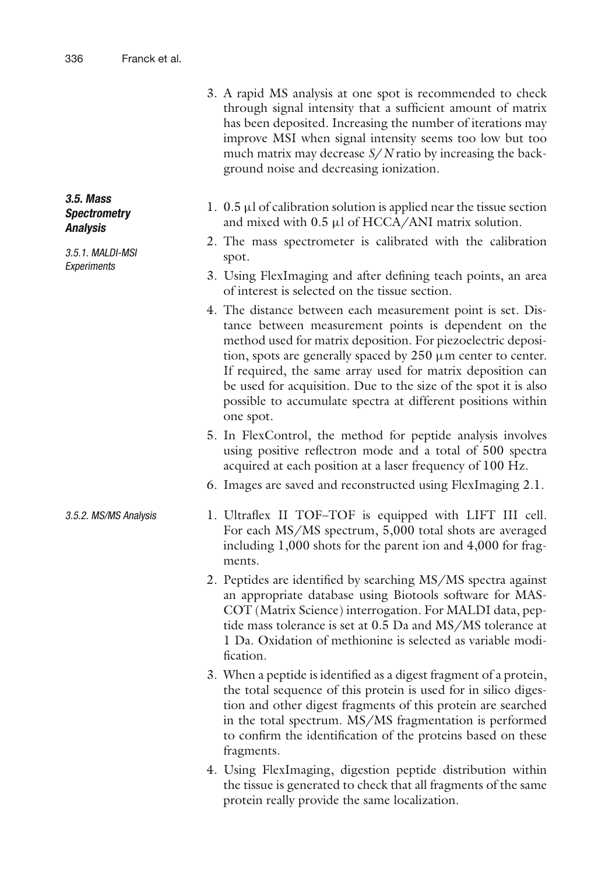#### **3.5. Mass Spectrometry Analysis**

3.5.1. MALDI-MSI **Experiments** 

- 3. A rapid MS analysis at one spot is recommended to check through signal intensity that a sufficient amount of matrix has been deposited. Increasing the number of iterations may improve MSI when signal intensity seems too low but too much matrix may decrease *S*/*N* ratio by increasing the background noise and decreasing ionization.
- 1. 0.5 μl of calibration solution is applied near the tissue section and mixed with 0.5 μl of HCCA/ANI matrix solution.
- 2. The mass spectrometer is calibrated with the calibration spot.
- 3. Using FlexImaging and after defining teach points, an area of interest is selected on the tissue section.
- 4. The distance between each measurement point is set. Distance between measurement points is dependent on the method used for matrix deposition. For piezoelectric deposition, spots are generally spaced by 250 μm center to center. If required, the same array used for matrix deposition can be used for acquisition. Due to the size of the spot it is also possible to accumulate spectra at different positions within one spot.
- 5. In FlexControl, the method for peptide analysis involves using positive reflectron mode and a total of 500 spectra acquired at each position at a laser frequency of 100 Hz.
- 6. Images are saved and reconstructed using FlexImaging 2.1.
- 3.5.2. MS/MS Analysis 1. Ultraflex II TOF–TOF is equipped with LIFT III cell. For each MS/MS spectrum, 5,000 total shots are averaged including 1,000 shots for the parent ion and 4,000 for fragments.
	- 2. Peptides are identified by searching MS/MS spectra against an appropriate database using Biotools software for MAS-COT (Matrix Science) interrogation. For MALDI data, peptide mass tolerance is set at 0.5 Da and MS/MS tolerance at 1 Da. Oxidation of methionine is selected as variable modification.
	- 3. When a peptide is identified as a digest fragment of a protein, the total sequence of this protein is used for in silico digestion and other digest fragments of this protein are searched in the total spectrum. MS/MS fragmentation is performed to confirm the identification of the proteins based on these fragments.
	- 4. Using FlexImaging, digestion peptide distribution within the tissue is generated to check that all fragments of the same protein really provide the same localization.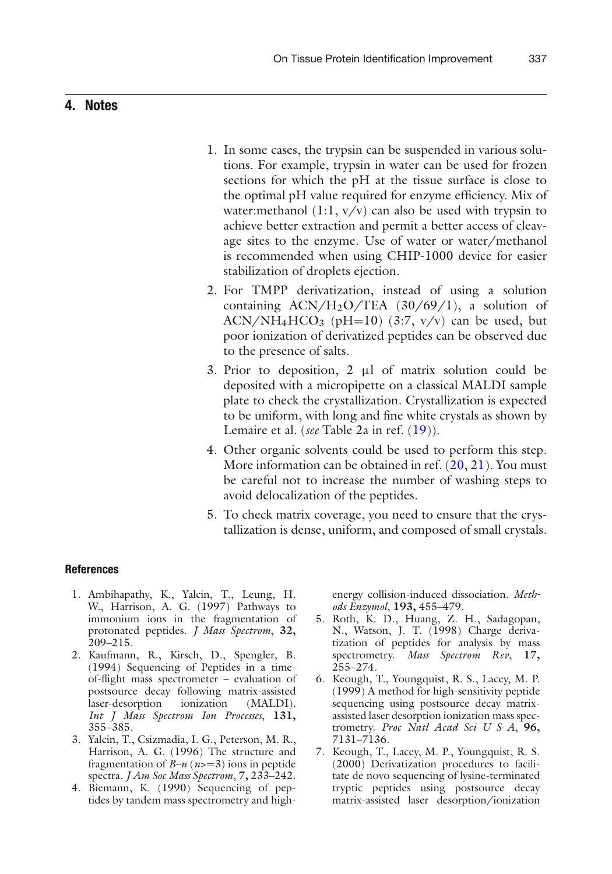### **4. Notes**

- 1. In some cases, the trypsin can be suspended in various solutions. For example, trypsin in water can be used for frozen sections for which the pH at the tissue surface is close to the optimal pH value required for enzyme efficiency. Mix of water: methanol  $(1:1, v/v)$  can also be used with trypsin to achieve better extraction and permit a better access of cleavage sites to the enzyme. Use of water or water/methanol is recommended when using CHIP-1000 device for easier stabilization of droplets ejection.
- 2. For TMPP derivatization, instead of using a solution containing  $ACN/H<sub>2</sub>O/TEA$  (30/69/1), a solution of  $ACN/NH_4HCO_3$  (pH=10) (3:7, v/v) can be used, but poor ionization of derivatized peptides can be observed due to the presence of salts.
- 3. Prior to deposition, 2 μl of matrix solution could be deposited with a micropipette on a classical MALDI sample plate to check the crystallization. Crystallization is expected to be uniform, with long and fine white crystals as shown by Lemaire et al. (*see* Table 2a in ref. [\(19\)](#page-15-11)).
- 4. Other organic solvents could be used to perform this step. More information can be obtained in ref.  $(20, 21)$  $(20, 21)$  $(20, 21)$ . You must be careful not to increase the number of washing steps to avoid delocalization of the peptides.
- 5. To check matrix coverage, you need to ensure that the crystallization is dense, uniform, and composed of small crystals.

#### **References**

- 1. Ambihapathy, K., Yalcin, T., Leung, H. W., Harrison, A. G. (1997) Pathways to immonium ions in the fragmentation of protonated peptides. *J Mass Spectrom*, **32,** 209–215.
- <span id="page-14-0"></span>2. Kaufmann, R., Kirsch, D., Spengler, B. (1994) Sequencing of Peptides in a timeof-flight mass spectrometer – evaluation of postsource decay following matrix-assisted laser-desorption ionization (MALDI). *Int J Mass Spectrom Ion Processes*, **131,** 355–385.
- <span id="page-14-1"></span>3. Yalcin, T., Csizmadia, I. G., Peterson, M. R., Harrison, A. G. (1996) The structure and fragmentation of *B–n* (*n*>=3) ions in peptide spectra. *J Am Soc Mass Spectrom*, **7,** 233–242.
- <span id="page-14-2"></span>4. Biemann, K. (1990) Sequencing of peptides by tandem mass spectrometry and high-

energy collision-induced dissociation. *Methods Enzymol*, **193,** 455–479.

- <span id="page-14-3"></span>5. Roth, K. D., Huang, Z. H., Sadagopan, N., Watson, J. T. (1998) Charge derivatization of peptides for analysis by mass spectrometry. *Mass Spectrom Rev*, **17,** 255–274.
- <span id="page-14-4"></span>6. Keough, T., Youngquist, R. S., Lacey, M. P. (1999) A method for high-sensitivity peptide sequencing using postsource decay matrixassisted laser desorption ionization mass spectrometry. *Proc Natl Acad Sci U S A*, **96,** 7131–7136.
- <span id="page-14-5"></span>7. Keough, T., Lacey, M. P., Youngquist, R. S. (2000) Derivatization procedures to facilitate de novo sequencing of lysine-terminated tryptic peptides using postsource decay matrix-assisted laser desorption/ionization